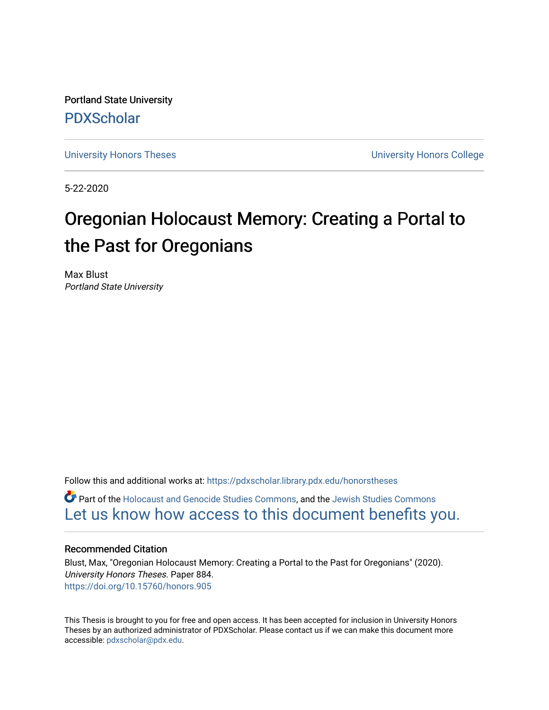Portland State University [PDXScholar](https://pdxscholar.library.pdx.edu/)

[University Honors Theses](https://pdxscholar.library.pdx.edu/honorstheses) **University Honors College** 

5-22-2020

# Oregonian Holocaust Memory: Creating a Portal to the Past for Oregonians

Max Blust Portland State University

Follow this and additional works at: [https://pdxscholar.library.pdx.edu/honorstheses](https://pdxscholar.library.pdx.edu/honorstheses?utm_source=pdxscholar.library.pdx.edu%2Fhonorstheses%2F884&utm_medium=PDF&utm_campaign=PDFCoverPages) 

Part of the [Holocaust and Genocide Studies Commons,](http://network.bepress.com/hgg/discipline/1413?utm_source=pdxscholar.library.pdx.edu%2Fhonorstheses%2F884&utm_medium=PDF&utm_campaign=PDFCoverPages) and the [Jewish Studies Commons](http://network.bepress.com/hgg/discipline/479?utm_source=pdxscholar.library.pdx.edu%2Fhonorstheses%2F884&utm_medium=PDF&utm_campaign=PDFCoverPages) [Let us know how access to this document benefits you.](http://library.pdx.edu/services/pdxscholar-services/pdxscholar-feedback/) 

#### Recommended Citation

Blust, Max, "Oregonian Holocaust Memory: Creating a Portal to the Past for Oregonians" (2020). University Honors Theses. Paper 884. <https://doi.org/10.15760/honors.905>

This Thesis is brought to you for free and open access. It has been accepted for inclusion in University Honors Theses by an authorized administrator of PDXScholar. Please contact us if we can make this document more accessible: [pdxscholar@pdx.edu.](mailto:pdxscholar@pdx.edu)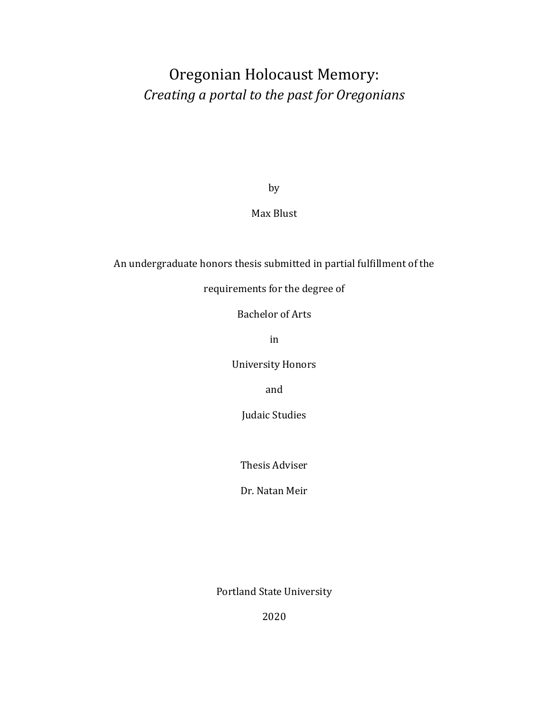## Oregonian Holocaust Memory: *Creating a portal to the past for Oregonians*

by

Max Blust

### An undergraduate honors thesis submitted in partial fulfillment of the

requirements for the degree of

Bachelor of Arts

in

University Honors

and

Judaic Studies

Thesis Adviser

Dr. Natan Meir

Portland State University

2020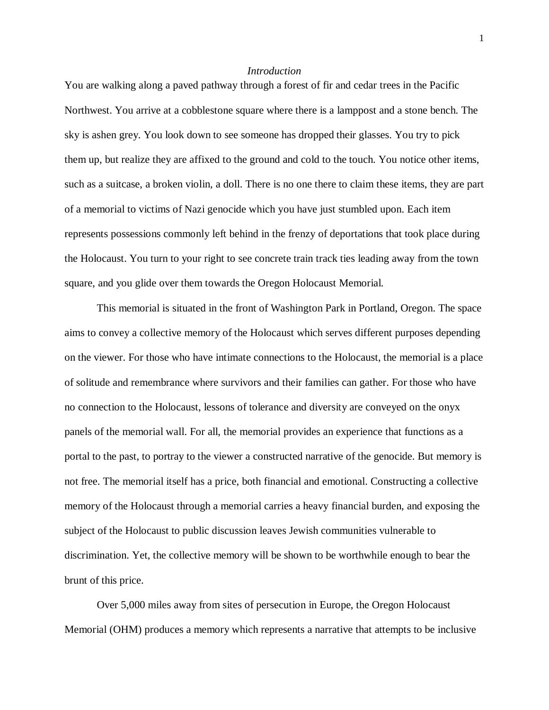#### *Introduction*

You are walking along a paved pathway through a forest of fir and cedar trees in the Pacific Northwest. You arrive at a cobblestone square where there is a lamppost and a stone bench. The sky is ashen grey. You look down to see someone has dropped their glasses. You try to pick them up, but realize they are affixed to the ground and cold to the touch. You notice other items, such as a suitcase, a broken violin, a doll. There is no one there to claim these items, they are part of a memorial to victims of Nazi genocide which you have just stumbled upon. Each item represents possessions commonly left behind in the frenzy of deportations that took place during the Holocaust. You turn to your right to see concrete train track ties leading away from the town square, and you glide over them towards the Oregon Holocaust Memorial.

This memorial is situated in the front of Washington Park in Portland, Oregon. The space aims to convey a collective memory of the Holocaust which serves different purposes depending on the viewer. For those who have intimate connections to the Holocaust, the memorial is a place of solitude and remembrance where survivors and their families can gather. For those who have no connection to the Holocaust, lessons of tolerance and diversity are conveyed on the onyx panels of the memorial wall. For all, the memorial provides an experience that functions as a portal to the past, to portray to the viewer a constructed narrative of the genocide. But memory is not free. The memorial itself has a price, both financial and emotional. Constructing a collective memory of the Holocaust through a memorial carries a heavy financial burden, and exposing the subject of the Holocaust to public discussion leaves Jewish communities vulnerable to discrimination. Yet, the collective memory will be shown to be worthwhile enough to bear the brunt of this price.

Over 5,000 miles away from sites of persecution in Europe, the Oregon Holocaust Memorial (OHM) produces a memory which represents a narrative that attempts to be inclusive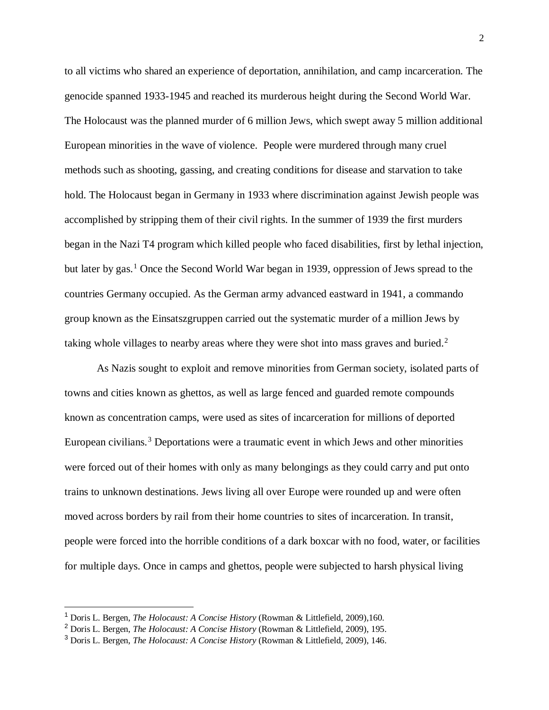to all victims who shared an experience of deportation, annihilation, and camp incarceration. The genocide spanned 1933-1945 and reached its murderous height during the Second World War. The Holocaust was the planned murder of 6 million Jews, which swept away 5 million additional European minorities in the wave of violence. People were murdered through many cruel methods such as shooting, gassing, and creating conditions for disease and starvation to take hold. The Holocaust began in Germany in 1933 where discrimination against Jewish people was accomplished by stripping them of their civil rights. In the summer of 1939 the first murders began in the Nazi T4 program which killed people who faced disabilities, first by lethal injection, but later by gas.<sup>[1](#page-3-0)</sup> Once the Second World War began in 1939, oppression of Jews spread to the countries Germany occupied. As the German army advanced eastward in 1941, a commando group known as the Einsatszgruppen carried out the systematic murder of a million Jews by taking whole villages to nearby areas where they were shot into mass graves and buried. $2$ 

As Nazis sought to exploit and remove minorities from German society, isolated parts of towns and cities known as ghettos, as well as large fenced and guarded remote compounds known as concentration camps, were used as sites of incarceration for millions of deported European civilians.<sup>[3](#page-3-2)</sup> Deportations were a traumatic event in which Jews and other minorities were forced out of their homes with only as many belongings as they could carry and put onto trains to unknown destinations. Jews living all over Europe were rounded up and were often moved across borders by rail from their home countries to sites of incarceration. In transit, people were forced into the horrible conditions of a dark boxcar with no food, water, or facilities for multiple days. Once in camps and ghettos, people were subjected to harsh physical living

<span id="page-3-0"></span> <sup>1</sup> Doris L. Bergen, *The Holocaust: A Concise History* (Rowman & Littlefield, 2009),160.

<span id="page-3-1"></span><sup>2</sup> Doris L. Bergen, *The Holocaust: A Concise History* (Rowman & Littlefield, 2009), 195.

<span id="page-3-2"></span><sup>3</sup> Doris L. Bergen, *The Holocaust: A Concise History* (Rowman & Littlefield, 2009), 146.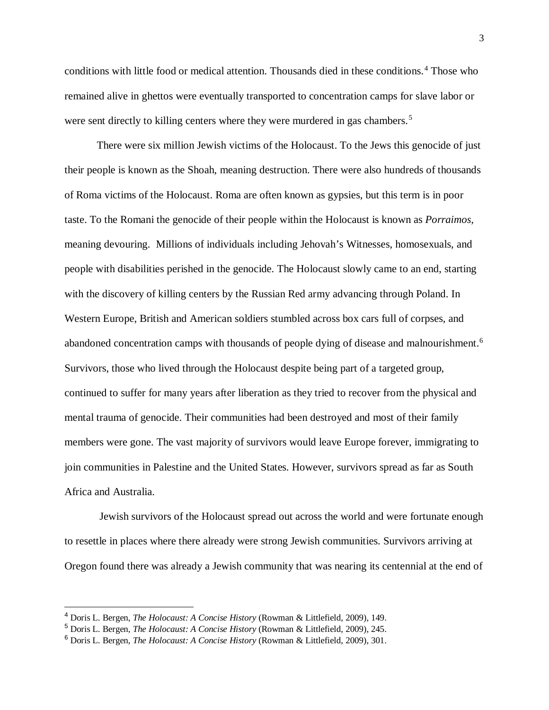conditions with little food or medical attention. Thousands died in these conditions.<sup>[4](#page-4-0)</sup> Those who remained alive in ghettos were eventually transported to concentration camps for slave labor or were sent directly to killing centers where they were murdered in gas chambers.<sup>[5](#page-4-1)</sup>

There were six million Jewish victims of the Holocaust. To the Jews this genocide of just their people is known as the Shoah, meaning destruction. There were also hundreds of thousands of Roma victims of the Holocaust. Roma are often known as gypsies, but this term is in poor taste. To the Romani the genocide of their people within the Holocaust is known as *Porraimos,* meaning devouring. Millions of individuals including Jehovah's Witnesses, homosexuals, and people with disabilities perished in the genocide. The Holocaust slowly came to an end, starting with the discovery of killing centers by the Russian Red army advancing through Poland. In Western Europe, British and American soldiers stumbled across box cars full of corpses, and abandoned concentration camps with thousands of people dying of disease and malnourishment.<sup>[6](#page-4-2)</sup> Survivors, those who lived through the Holocaust despite being part of a targeted group, continued to suffer for many years after liberation as they tried to recover from the physical and mental trauma of genocide. Their communities had been destroyed and most of their family members were gone. The vast majority of survivors would leave Europe forever, immigrating to join communities in Palestine and the United States. However, survivors spread as far as South Africa and Australia.

Jewish survivors of the Holocaust spread out across the world and were fortunate enough to resettle in places where there already were strong Jewish communities. Survivors arriving at Oregon found there was already a Jewish community that was nearing its centennial at the end of

<span id="page-4-0"></span> <sup>4</sup> Doris L. Bergen, *The Holocaust: A Concise History* (Rowman & Littlefield, 2009), 149.

<span id="page-4-1"></span><sup>5</sup> Doris L. Bergen, *The Holocaust: A Concise History* (Rowman & Littlefield, 2009), 245.

<span id="page-4-2"></span><sup>6</sup> Doris L. Bergen, *The Holocaust: A Concise History* (Rowman & Littlefield, 2009), 301.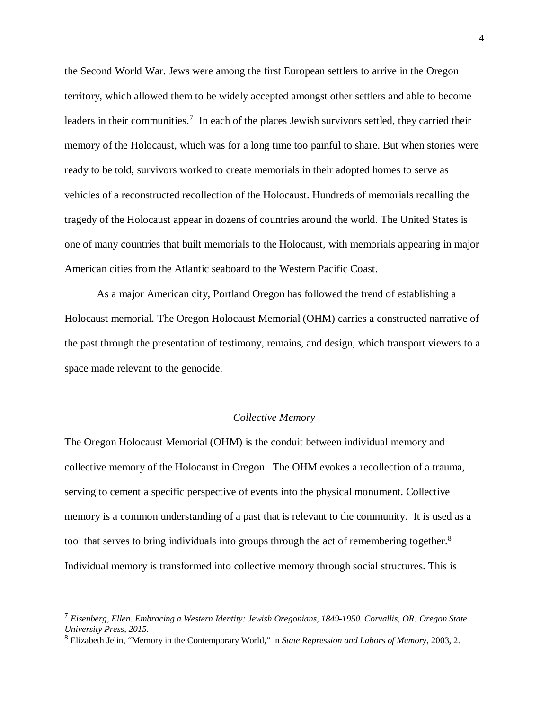the Second World War. Jews were among the first European settlers to arrive in the Oregon territory, which allowed them to be widely accepted amongst other settlers and able to become leaders in their communities.<sup>[7](#page-5-0)</sup> In each of the places Jewish survivors settled, they carried their memory of the Holocaust, which was for a long time too painful to share. But when stories were ready to be told, survivors worked to create memorials in their adopted homes to serve as vehicles of a reconstructed recollection of the Holocaust. Hundreds of memorials recalling the tragedy of the Holocaust appear in dozens of countries around the world. The United States is one of many countries that built memorials to the Holocaust, with memorials appearing in major American cities from the Atlantic seaboard to the Western Pacific Coast.

As a major American city, Portland Oregon has followed the trend of establishing a Holocaust memorial. The Oregon Holocaust Memorial (OHM) carries a constructed narrative of the past through the presentation of testimony, remains, and design, which transport viewers to a space made relevant to the genocide.

#### *Collective Memory*

The Oregon Holocaust Memorial (OHM) is the conduit between individual memory and collective memory of the Holocaust in Oregon. The OHM evokes a recollection of a trauma, serving to cement a specific perspective of events into the physical monument. Collective memory is a common understanding of a past that is relevant to the community. It is used as a tool that serves to bring individuals into groups through the act of remembering together.<sup>[8](#page-5-1)</sup> Individual memory is transformed into collective memory through social structures. This is

<span id="page-5-0"></span> <sup>7</sup> *Eisenberg, Ellen. Embracing a Western Identity: Jewish Oregonians, 1849-1950. Corvallis, OR: Oregon State University Press, 2015.* 

<span id="page-5-1"></span><sup>8</sup> Elizabeth Jelin, "Memory in the Contemporary World," in *State Repression and Labors of Memory*, 2003, 2.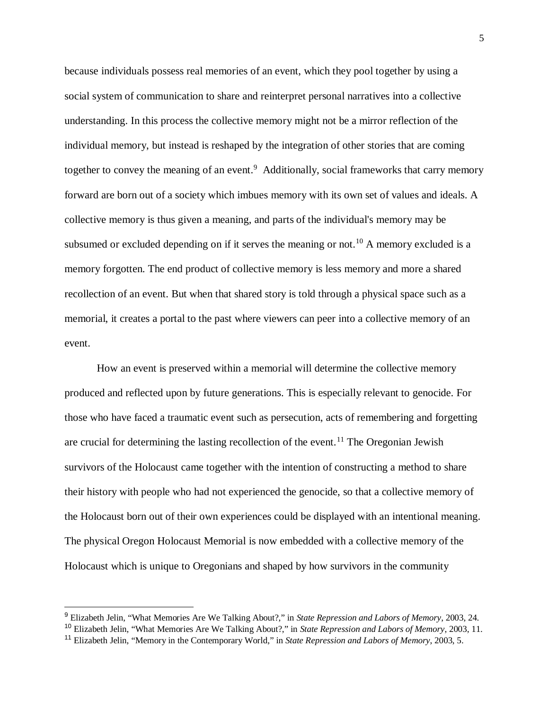because individuals possess real memories of an event, which they pool together by using a social system of communication to share and reinterpret personal narratives into a collective understanding. In this process the collective memory might not be a mirror reflection of the individual memory, but instead is reshaped by the integration of other stories that are coming together to convey the meaning of an event.<sup>[9](#page-6-0)</sup> Additionally, social frameworks that carry memory forward are born out of a society which imbues memory with its own set of values and ideals. A collective memory is thus given a meaning, and parts of the individual's memory may be subsumed or excluded depending on if it serves the meaning or not.<sup>[10](#page-6-1)</sup> A memory excluded is a memory forgotten. The end product of collective memory is less memory and more a shared recollection of an event. But when that shared story is told through a physical space such as a memorial, it creates a portal to the past where viewers can peer into a collective memory of an event.

How an event is preserved within a memorial will determine the collective memory produced and reflected upon by future generations. This is especially relevant to genocide. For those who have faced a traumatic event such as persecution, acts of remembering and forgetting are crucial for determining the lasting recollection of the event.<sup>[11](#page-6-2)</sup> The Oregonian Jewish survivors of the Holocaust came together with the intention of constructing a method to share their history with people who had not experienced the genocide, so that a collective memory of the Holocaust born out of their own experiences could be displayed with an intentional meaning. The physical Oregon Holocaust Memorial is now embedded with a collective memory of the Holocaust which is unique to Oregonians and shaped by how survivors in the community

<span id="page-6-0"></span> <sup>9</sup> Elizabeth Jelin, "What Memories Are We Talking About?," in *State Repression and Labors of Memory*, 2003, 24.

<span id="page-6-1"></span><sup>10</sup> Elizabeth Jelin, "What Memories Are We Talking About?," in *State Repression and Labors of Memory*, 2003, 11.

<span id="page-6-2"></span><sup>11</sup> Elizabeth Jelin, "Memory in the Contemporary World," in *State Repression and Labors of Memory*, 2003, 5.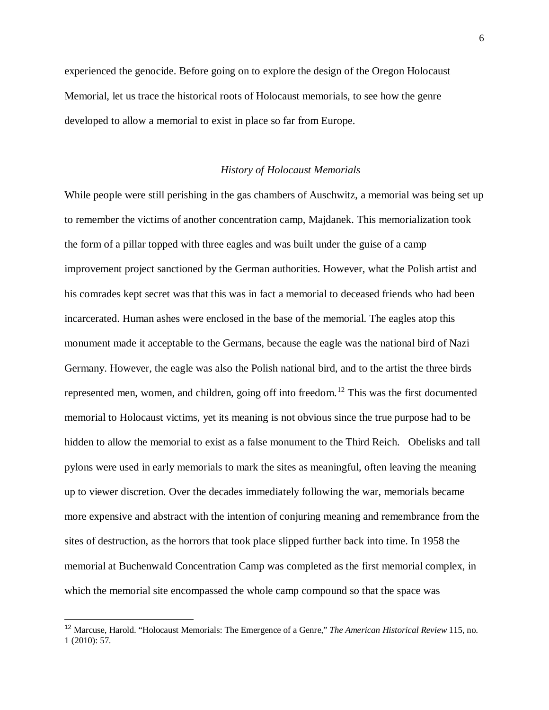experienced the genocide. Before going on to explore the design of the Oregon Holocaust Memorial, let us trace the historical roots of Holocaust memorials, to see how the genre developed to allow a memorial to exist in place so far from Europe.

#### *History of Holocaust Memorials*

While people were still perishing in the gas chambers of Auschwitz, a memorial was being set up to remember the victims of another concentration camp, Majdanek. This memorialization took the form of a pillar topped with three eagles and was built under the guise of a camp improvement project sanctioned by the German authorities. However, what the Polish artist and his comrades kept secret was that this was in fact a memorial to deceased friends who had been incarcerated. Human ashes were enclosed in the base of the memorial. The eagles atop this monument made it acceptable to the Germans, because the eagle was the national bird of Nazi Germany. However, the eagle was also the Polish national bird, and to the artist the three birds represented men, women, and children, going off into freedom.<sup>[12](#page-7-0)</sup> This was the first documented memorial to Holocaust victims, yet its meaning is not obvious since the true purpose had to be hidden to allow the memorial to exist as a false monument to the Third Reich. Obelisks and tall pylons were used in early memorials to mark the sites as meaningful, often leaving the meaning up to viewer discretion. Over the decades immediately following the war, memorials became more expensive and abstract with the intention of conjuring meaning and remembrance from the sites of destruction, as the horrors that took place slipped further back into time. In 1958 the memorial at Buchenwald Concentration Camp was completed as the first memorial complex, in which the memorial site encompassed the whole camp compound so that the space was

<span id="page-7-0"></span> <sup>12</sup> Marcuse, Harold. "Holocaust Memorials: The Emergence of a Genre," *The American Historical Review* 115, no. 1 (2010): 57.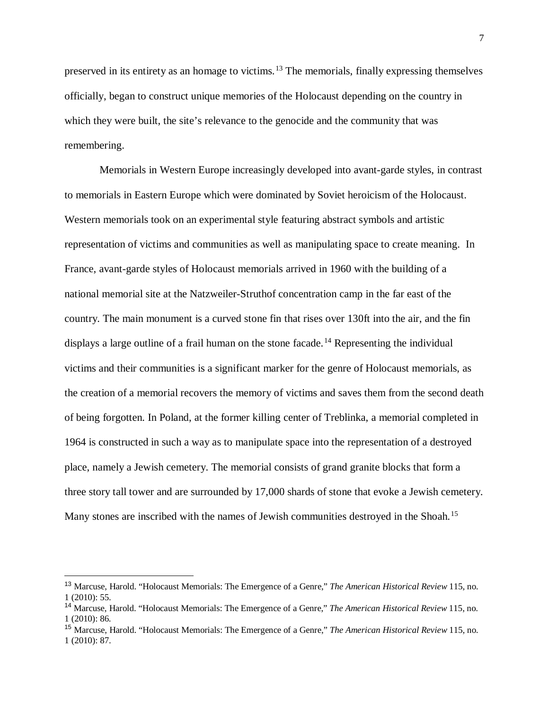preserved in its entirety as an homage to victims.[13](#page-8-0) The memorials, finally expressing themselves officially, began to construct unique memories of the Holocaust depending on the country in which they were built, the site's relevance to the genocide and the community that was remembering.

Memorials in Western Europe increasingly developed into avant-garde styles, in contrast to memorials in Eastern Europe which were dominated by Soviet heroicism of the Holocaust. Western memorials took on an experimental style featuring abstract symbols and artistic representation of victims and communities as well as manipulating space to create meaning. In France, avant-garde styles of Holocaust memorials arrived in 1960 with the building of a national memorial site at the Natzweiler-Struthof concentration camp in the far east of the country. The main monument is a curved stone fin that rises over 130ft into the air, and the fin displays a large outline of a frail human on the stone facade.<sup>[14](#page-8-1)</sup> Representing the individual victims and their communities is a significant marker for the genre of Holocaust memorials, as the creation of a memorial recovers the memory of victims and saves them from the second death of being forgotten. In Poland, at the former killing center of Treblinka, a memorial completed in 1964 is constructed in such a way as to manipulate space into the representation of a destroyed place, namely a Jewish cemetery. The memorial consists of grand granite blocks that form a three story tall tower and are surrounded by 17,000 shards of stone that evoke a Jewish cemetery. Many stones are inscribed with the names of Jewish communities destroyed in the Shoah.<sup>[15](#page-8-2)</sup>

<span id="page-8-0"></span> <sup>13</sup> Marcuse, Harold. "Holocaust Memorials: The Emergence of a Genre," *The American Historical Review* 115, no. 1 (2010): 55.

<span id="page-8-1"></span><sup>14</sup> Marcuse, Harold. "Holocaust Memorials: The Emergence of a Genre," *The American Historical Review* 115, no. 1 (2010): 86.

<span id="page-8-2"></span><sup>15</sup> Marcuse, Harold. "Holocaust Memorials: The Emergence of a Genre," *The American Historical Review* 115, no. 1 (2010): 87.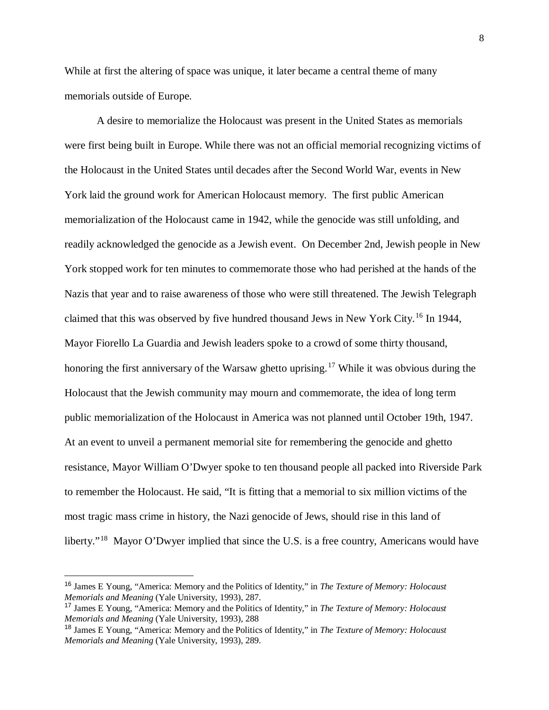While at first the altering of space was unique, it later became a central theme of many memorials outside of Europe.

A desire to memorialize the Holocaust was present in the United States as memorials were first being built in Europe. While there was not an official memorial recognizing victims of the Holocaust in the United States until decades after the Second World War, events in New York laid the ground work for American Holocaust memory. The first public American memorialization of the Holocaust came in 1942, while the genocide was still unfolding, and readily acknowledged the genocide as a Jewish event. On December 2nd, Jewish people in New York stopped work for ten minutes to commemorate those who had perished at the hands of the Nazis that year and to raise awareness of those who were still threatened. The Jewish Telegraph claimed that this was observed by five hundred thousand Jews in New York City.[16](#page-9-0) In 1944, Mayor Fiorello La Guardia and Jewish leaders spoke to a crowd of some thirty thousand, honoring the first anniversary of the Warsaw ghetto uprising.<sup>[17](#page-9-1)</sup> While it was obvious during the Holocaust that the Jewish community may mourn and commemorate, the idea of long term public memorialization of the Holocaust in America was not planned until October 19th, 1947. At an event to unveil a permanent memorial site for remembering the genocide and ghetto resistance, Mayor William O'Dwyer spoke to ten thousand people all packed into Riverside Park to remember the Holocaust. He said, "It is fitting that a memorial to six million victims of the most tragic mass crime in history, the Nazi genocide of Jews, should rise in this land of liberty."<sup>[18](#page-9-2)</sup> Mayor O'Dwyer implied that since the U.S. is a free country, Americans would have

<span id="page-9-0"></span> <sup>16</sup> James E Young, "America: Memory and the Politics of Identity," in *The Texture of Memory: Holocaust Memorials and Meaning* (Yale University, 1993), 287.

<span id="page-9-1"></span><sup>17</sup> James E Young, "America: Memory and the Politics of Identity," in *The Texture of Memory: Holocaust Memorials and Meaning* (Yale University, 1993), 288

<span id="page-9-2"></span><sup>18</sup> James E Young, "America: Memory and the Politics of Identity," in *The Texture of Memory: Holocaust Memorials and Meaning* (Yale University, 1993), 289.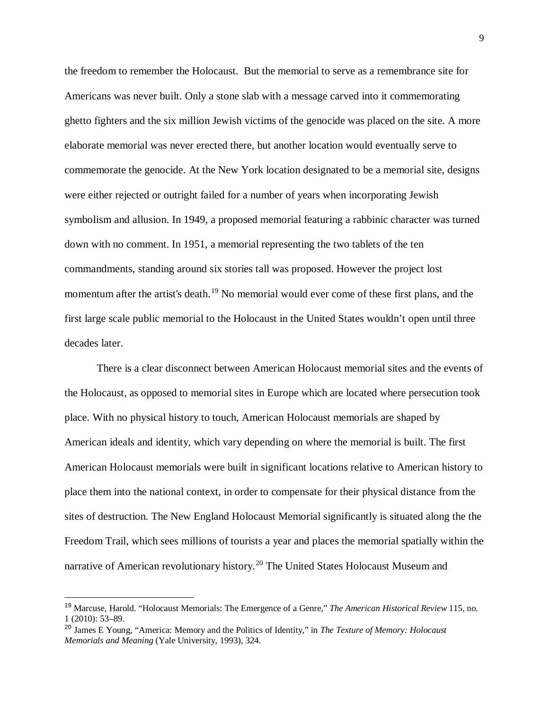the freedom to remember the Holocaust. But the memorial to serve as a remembrance site for Americans was never built. Only a stone slab with a message carved into it commemorating ghetto fighters and the six million Jewish victims of the genocide was placed on the site. A more elaborate memorial was never erected there, but another location would eventually serve to commemorate the genocide. At the New York location designated to be a memorial site, designs were either rejected or outright failed for a number of years when incorporating Jewish symbolism and allusion. In 1949, a proposed memorial featuring a rabbinic character was turned down with no comment. In 1951, a memorial representing the two tablets of the ten commandments, standing around six stories tall was proposed. However the project lost momentum after the artist's death.<sup>[19](#page-10-0)</sup> No memorial would ever come of these first plans, and the first large scale public memorial to the Holocaust in the United States wouldn't open until three decades later.

There is a clear disconnect between American Holocaust memorial sites and the events of the Holocaust, as opposed to memorial sites in Europe which are located where persecution took place. With no physical history to touch, American Holocaust memorials are shaped by American ideals and identity, which vary depending on where the memorial is built. The first American Holocaust memorials were built in significant locations relative to American history to place them into the national context, in order to compensate for their physical distance from the sites of destruction. The New England Holocaust Memorial significantly is situated along the the Freedom Trail, which sees millions of tourists a year and places the memorial spatially within the narrative of American revolutionary history.<sup>[20](#page-10-1)</sup> The United States Holocaust Museum and

<span id="page-10-0"></span> <sup>19</sup> Marcuse, Harold. "Holocaust Memorials: The Emergence of a Genre," *The American Historical Review* 115, no. 1 (2010): 53–89.

<span id="page-10-1"></span><sup>20</sup> James E Young, "America: Memory and the Politics of Identity," in *The Texture of Memory: Holocaust Memorials and Meaning* (Yale University, 1993), 324.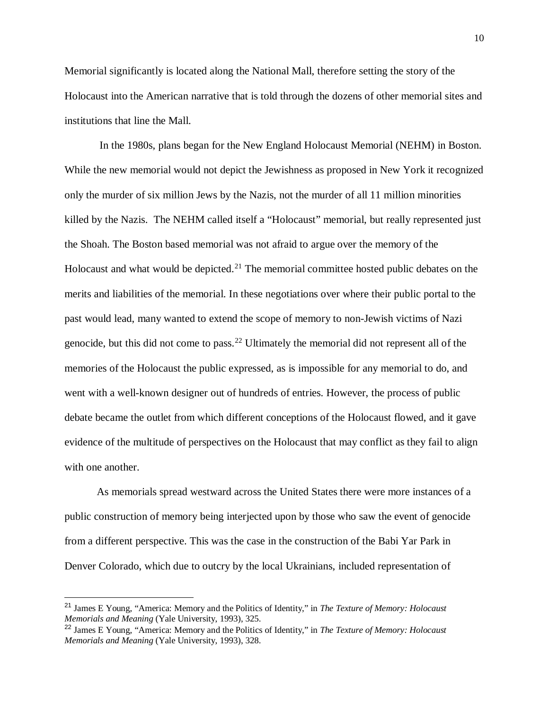Memorial significantly is located along the National Mall, therefore setting the story of the Holocaust into the American narrative that is told through the dozens of other memorial sites and institutions that line the Mall.

In the 1980s, plans began for the New England Holocaust Memorial (NEHM) in Boston. While the new memorial would not depict the Jewishness as proposed in New York it recognized only the murder of six million Jews by the Nazis, not the murder of all 11 million minorities killed by the Nazis. The NEHM called itself a "Holocaust" memorial, but really represented just the Shoah. The Boston based memorial was not afraid to argue over the memory of the Holocaust and what would be depicted.<sup>[21](#page-11-0)</sup> The memorial committee hosted public debates on the merits and liabilities of the memorial. In these negotiations over where their public portal to the past would lead, many wanted to extend the scope of memory to non-Jewish victims of Nazi genocide, but this did not come to pass.<sup>[22](#page-11-1)</sup> Ultimately the memorial did not represent all of the memories of the Holocaust the public expressed, as is impossible for any memorial to do, and went with a well-known designer out of hundreds of entries. However, the process of public debate became the outlet from which different conceptions of the Holocaust flowed, and it gave evidence of the multitude of perspectives on the Holocaust that may conflict as they fail to align with one another.

As memorials spread westward across the United States there were more instances of a public construction of memory being interjected upon by those who saw the event of genocide from a different perspective. This was the case in the construction of the Babi Yar Park in Denver Colorado, which due to outcry by the local Ukrainians, included representation of

<span id="page-11-0"></span> <sup>21</sup> James E Young, "America: Memory and the Politics of Identity," in *The Texture of Memory: Holocaust Memorials and Meaning* (Yale University, 1993), 325.

<span id="page-11-1"></span><sup>22</sup> James E Young, "America: Memory and the Politics of Identity," in *The Texture of Memory: Holocaust Memorials and Meaning* (Yale University, 1993), 328.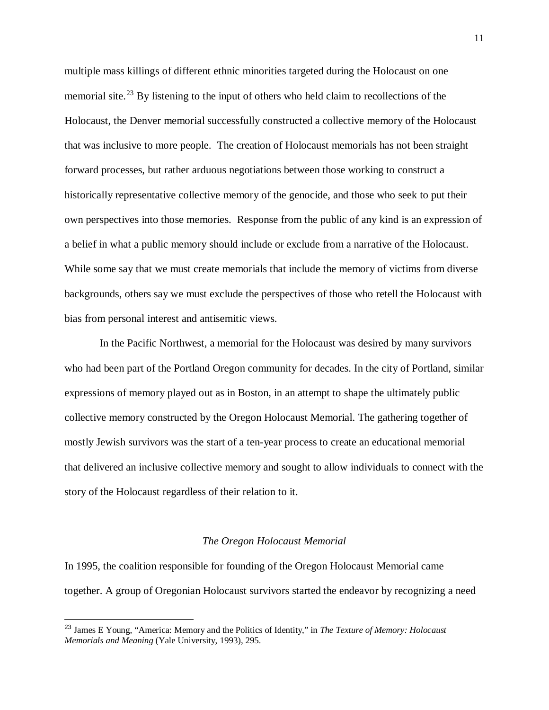multiple mass killings of different ethnic minorities targeted during the Holocaust on one memorial site.<sup>[23](#page-12-0)</sup> By listening to the input of others who held claim to recollections of the Holocaust, the Denver memorial successfully constructed a collective memory of the Holocaust that was inclusive to more people. The creation of Holocaust memorials has not been straight forward processes, but rather arduous negotiations between those working to construct a historically representative collective memory of the genocide, and those who seek to put their own perspectives into those memories. Response from the public of any kind is an expression of a belief in what a public memory should include or exclude from a narrative of the Holocaust. While some say that we must create memorials that include the memory of victims from diverse backgrounds, others say we must exclude the perspectives of those who retell the Holocaust with bias from personal interest and antisemitic views.

In the Pacific Northwest, a memorial for the Holocaust was desired by many survivors who had been part of the Portland Oregon community for decades. In the city of Portland, similar expressions of memory played out as in Boston, in an attempt to shape the ultimately public collective memory constructed by the Oregon Holocaust Memorial. The gathering together of mostly Jewish survivors was the start of a ten-year process to create an educational memorial that delivered an inclusive collective memory and sought to allow individuals to connect with the story of the Holocaust regardless of their relation to it.

#### *The Oregon Holocaust Memorial*

In 1995, the coalition responsible for founding of the Oregon Holocaust Memorial came together. A group of Oregonian Holocaust survivors started the endeavor by recognizing a need

<span id="page-12-0"></span> <sup>23</sup> James E Young, "America: Memory and the Politics of Identity," in *The Texture of Memory: Holocaust Memorials and Meaning* (Yale University, 1993), 295.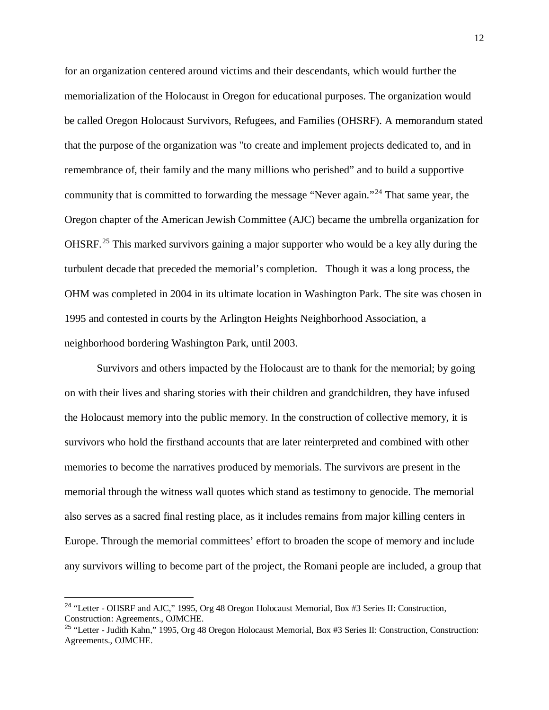for an organization centered around victims and their descendants, which would further the memorialization of the Holocaust in Oregon for educational purposes. The organization would be called Oregon Holocaust Survivors, Refugees, and Families (OHSRF). A memorandum stated that the purpose of the organization was "to create and implement projects dedicated to, and in remembrance of, their family and the many millions who perished" and to build a supportive community that is committed to forwarding the message "Never again."[24](#page-13-0) That same year, the Oregon chapter of the American Jewish Committee (AJC) became the umbrella organization for OHSRF.<sup>[25](#page-13-1)</sup> This marked survivors gaining a major supporter who would be a key ally during the turbulent decade that preceded the memorial's completion. Though it was a long process, the OHM was completed in 2004 in its ultimate location in Washington Park. The site was chosen in 1995 and contested in courts by the Arlington Heights Neighborhood Association, a neighborhood bordering Washington Park, until 2003.

Survivors and others impacted by the Holocaust are to thank for the memorial; by going on with their lives and sharing stories with their children and grandchildren, they have infused the Holocaust memory into the public memory. In the construction of collective memory, it is survivors who hold the firsthand accounts that are later reinterpreted and combined with other memories to become the narratives produced by memorials. The survivors are present in the memorial through the witness wall quotes which stand as testimony to genocide. The memorial also serves as a sacred final resting place, as it includes remains from major killing centers in Europe. Through the memorial committees' effort to broaden the scope of memory and include any survivors willing to become part of the project, the Romani people are included, a group that

<span id="page-13-0"></span> <sup>24</sup> "Letter - OHSRF and AJC," 1995, Org 48 Oregon Holocaust Memorial, Box #3 Series II: Construction, Construction: Agreements., OJMCHE.

<span id="page-13-1"></span><sup>25</sup> "Letter - Judith Kahn," 1995, Org 48 Oregon Holocaust Memorial, Box #3 Series II: Construction, Construction: Agreements., OJMCHE.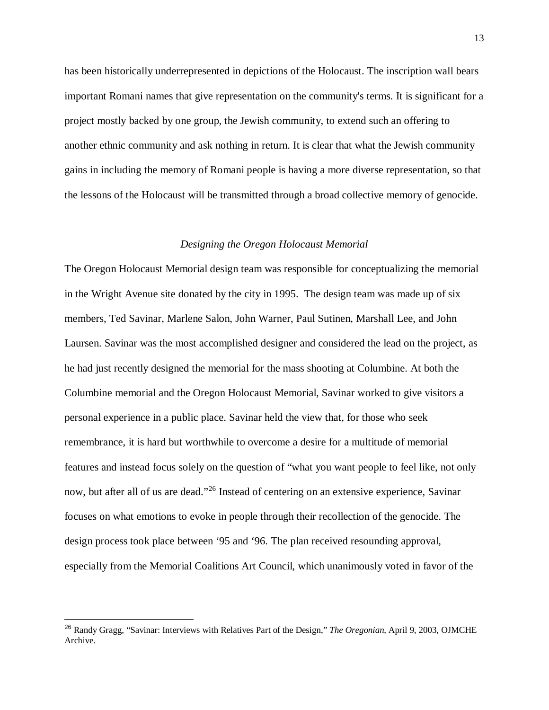has been historically underrepresented in depictions of the Holocaust. The inscription wall bears important Romani names that give representation on the community's terms. It is significant for a project mostly backed by one group, the Jewish community, to extend such an offering to another ethnic community and ask nothing in return. It is clear that what the Jewish community gains in including the memory of Romani people is having a more diverse representation, so that the lessons of the Holocaust will be transmitted through a broad collective memory of genocide.

#### *Designing the Oregon Holocaust Memorial*

The Oregon Holocaust Memorial design team was responsible for conceptualizing the memorial in the Wright Avenue site donated by the city in 1995. The design team was made up of six members, Ted Savinar, Marlene Salon, John Warner, Paul Sutinen, Marshall Lee, and John Laursen. Savinar was the most accomplished designer and considered the lead on the project, as he had just recently designed the memorial for the mass shooting at Columbine. At both the Columbine memorial and the Oregon Holocaust Memorial, Savinar worked to give visitors a personal experience in a public place. Savinar held the view that, for those who seek remembrance, it is hard but worthwhile to overcome a desire for a multitude of memorial features and instead focus solely on the question of "what you want people to feel like, not only now, but after all of us are dead."<sup>[26](#page-14-0)</sup> Instead of centering on an extensive experience, Savinar focuses on what emotions to evoke in people through their recollection of the genocide. The design process took place between '95 and '96. The plan received resounding approval, especially from the Memorial Coalitions Art Council, which unanimously voted in favor of the

<span id="page-14-0"></span> <sup>26</sup> Randy Gragg, "Savinar: Interviews with Relatives Part of the Design," *The Oregonian*, April 9, 2003, OJMCHE Archive.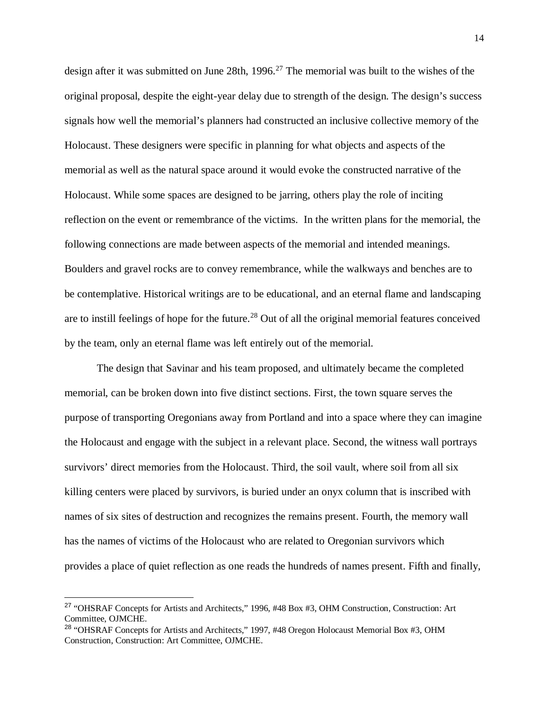design after it was submitted on June 28th,  $1996<sup>27</sup>$  $1996<sup>27</sup>$  $1996<sup>27</sup>$  The memorial was built to the wishes of the original proposal, despite the eight-year delay due to strength of the design. The design's success signals how well the memorial's planners had constructed an inclusive collective memory of the Holocaust. These designers were specific in planning for what objects and aspects of the memorial as well as the natural space around it would evoke the constructed narrative of the Holocaust. While some spaces are designed to be jarring, others play the role of inciting reflection on the event or remembrance of the victims. In the written plans for the memorial, the following connections are made between aspects of the memorial and intended meanings. Boulders and gravel rocks are to convey remembrance, while the walkways and benches are to be contemplative. Historical writings are to be educational, and an eternal flame and landscaping are to instill feelings of hope for the future.<sup>[28](#page-15-1)</sup> Out of all the original memorial features conceived by the team, only an eternal flame was left entirely out of the memorial.

The design that Savinar and his team proposed, and ultimately became the completed memorial, can be broken down into five distinct sections. First, the town square serves the purpose of transporting Oregonians away from Portland and into a space where they can imagine the Holocaust and engage with the subject in a relevant place. Second, the witness wall portrays survivors' direct memories from the Holocaust. Third, the soil vault, where soil from all six killing centers were placed by survivors, is buried under an onyx column that is inscribed with names of six sites of destruction and recognizes the remains present. Fourth, the memory wall has the names of victims of the Holocaust who are related to Oregonian survivors which provides a place of quiet reflection as one reads the hundreds of names present. Fifth and finally,

<span id="page-15-0"></span> <sup>27</sup> "OHSRAF Concepts for Artists and Architects," 1996, #48 Box #3, OHM Construction, Construction: Art Committee, OJMCHE.

<span id="page-15-1"></span><sup>&</sup>lt;sup>28</sup> "OHSRAF Concepts for Artists and Architects," 1997, #48 Oregon Holocaust Memorial Box #3, OHM Construction, Construction: Art Committee, OJMCHE.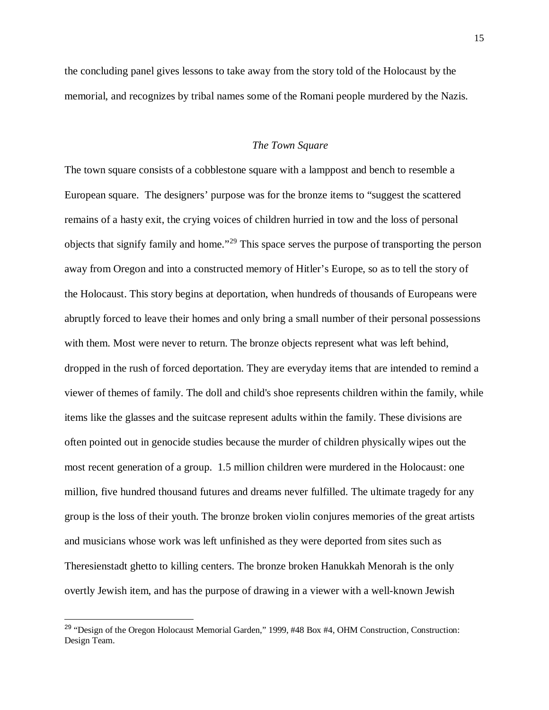the concluding panel gives lessons to take away from the story told of the Holocaust by the memorial, and recognizes by tribal names some of the Romani people murdered by the Nazis.

#### *The Town Square*

The town square consists of a cobblestone square with a lamppost and bench to resemble a European square. The designers' purpose was for the bronze items to "suggest the scattered remains of a hasty exit, the crying voices of children hurried in tow and the loss of personal objects that signify family and home."[29](#page-16-0) This space serves the purpose of transporting the person away from Oregon and into a constructed memory of Hitler's Europe, so as to tell the story of the Holocaust. This story begins at deportation, when hundreds of thousands of Europeans were abruptly forced to leave their homes and only bring a small number of their personal possessions with them. Most were never to return. The bronze objects represent what was left behind, dropped in the rush of forced deportation. They are everyday items that are intended to remind a viewer of themes of family. The doll and child's shoe represents children within the family, while items like the glasses and the suitcase represent adults within the family. These divisions are often pointed out in genocide studies because the murder of children physically wipes out the most recent generation of a group. 1.5 million children were murdered in the Holocaust: one million, five hundred thousand futures and dreams never fulfilled. The ultimate tragedy for any group is the loss of their youth. The bronze broken violin conjures memories of the great artists and musicians whose work was left unfinished as they were deported from sites such as Theresienstadt ghetto to killing centers. The bronze broken Hanukkah Menorah is the only overtly Jewish item, and has the purpose of drawing in a viewer with a well-known Jewish

<span id="page-16-0"></span><sup>&</sup>lt;sup>29</sup> "Design of the Oregon Holocaust Memorial Garden," 1999, #48 Box #4, OHM Construction, Construction: Design Team.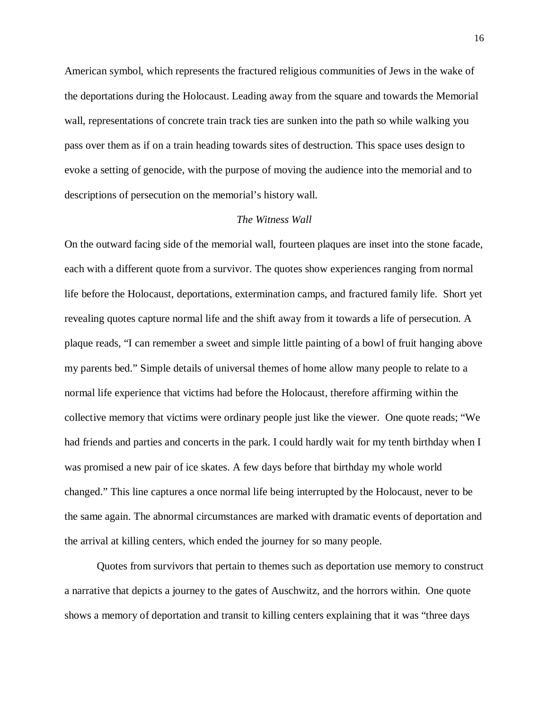American symbol, which represents the fractured religious communities of Jews in the wake of the deportations during the Holocaust. Leading away from the square and towards the Memorial wall, representations of concrete train track ties are sunken into the path so while walking you pass over them as if on a train heading towards sites of destruction. This space uses design to evoke a setting of genocide, with the purpose of moving the audience into the memorial and to descriptions of persecution on the memorial's history wall.

#### *The Witness Wall*

On the outward facing side of the memorial wall, fourteen plaques are inset into the stone facade, each with a different quote from a survivor. The quotes show experiences ranging from normal life before the Holocaust, deportations, extermination camps, and fractured family life. Short yet revealing quotes capture normal life and the shift away from it towards a life of persecution. A plaque reads, "I can remember a sweet and simple little painting of a bowl of fruit hanging above my parents bed." Simple details of universal themes of home allow many people to relate to a normal life experience that victims had before the Holocaust, therefore affirming within the collective memory that victims were ordinary people just like the viewer. One quote reads; "We had friends and parties and concerts in the park. I could hardly wait for my tenth birthday when I was promised a new pair of ice skates. A few days before that birthday my whole world changed." This line captures a once normal life being interrupted by the Holocaust, never to be the same again. The abnormal circumstances are marked with dramatic events of deportation and the arrival at killing centers, which ended the journey for so many people.

Quotes from survivors that pertain to themes such as deportation use memory to construct a narrative that depicts a journey to the gates of Auschwitz, and the horrors within. One quote shows a memory of deportation and transit to killing centers explaining that it was "three days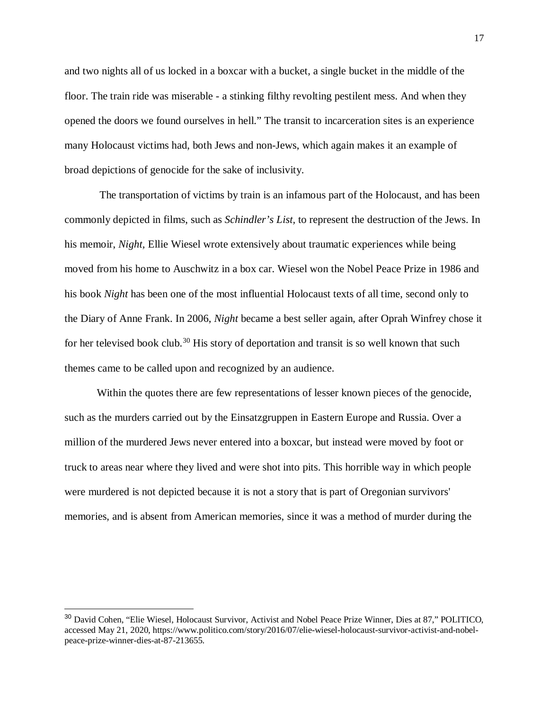and two nights all of us locked in a boxcar with a bucket, a single bucket in the middle of the floor. The train ride was miserable - a stinking filthy revolting pestilent mess. And when they opened the doors we found ourselves in hell." The transit to incarceration sites is an experience many Holocaust victims had, both Jews and non-Jews, which again makes it an example of broad depictions of genocide for the sake of inclusivity.

The transportation of victims by train is an infamous part of the Holocaust, and has been commonly depicted in films, such as *Schindler's List,* to represent the destruction of the Jews. In his memoir, *Night,* Ellie Wiesel wrote extensively about traumatic experiences while being moved from his home to Auschwitz in a box car. Wiesel won the Nobel Peace Prize in 1986 and his book *Night* has been one of the most influential Holocaust texts of all time, second only to the Diary of Anne Frank. In 2006, *Night* became a best seller again, after Oprah Winfrey chose it for her televised book club.<sup>[30](#page-18-0)</sup> His story of deportation and transit is so well known that such themes came to be called upon and recognized by an audience.

Within the quotes there are few representations of lesser known pieces of the genocide, such as the murders carried out by the Einsatzgruppen in Eastern Europe and Russia. Over a million of the murdered Jews never entered into a boxcar, but instead were moved by foot or truck to areas near where they lived and were shot into pits. This horrible way in which people were murdered is not depicted because it is not a story that is part of Oregonian survivors' memories, and is absent from American memories, since it was a method of murder during the

<span id="page-18-0"></span><sup>&</sup>lt;sup>30</sup> David Cohen, "Elie Wiesel, Holocaust Survivor, Activist and Nobel Peace Prize Winner, Dies at 87," POLITICO, accessed May 21, 2020, https://www.politico.com/story/2016/07/elie-wiesel-holocaust-survivor-activist-and-nobelpeace-prize-winner-dies-at-87-213655.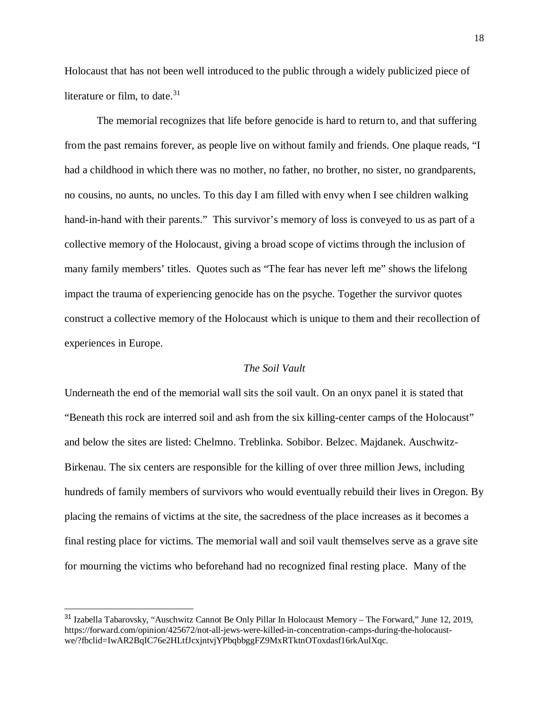Holocaust that has not been well introduced to the public through a widely publicized piece of literature or film, to date. $31$ 

The memorial recognizes that life before genocide is hard to return to, and that suffering from the past remains forever, as people live on without family and friends. One plaque reads, "I had a childhood in which there was no mother, no father, no brother, no sister, no grandparents, no cousins, no aunts, no uncles. To this day I am filled with envy when I see children walking hand-in-hand with their parents." This survivor's memory of loss is conveyed to us as part of a collective memory of the Holocaust, giving a broad scope of victims through the inclusion of many family members' titles. Quotes such as "The fear has never left me" shows the lifelong impact the trauma of experiencing genocide has on the psyche. Together the survivor quotes construct a collective memory of the Holocaust which is unique to them and their recollection of experiences in Europe.

#### *The Soil Vault*

Underneath the end of the memorial wall sits the soil vault. On an onyx panel it is stated that "Beneath this rock are interred soil and ash from the six killing-center camps of the Holocaust" and below the sites are listed: Chelmno. Treblinka. Sobibor. Belzec. Majdanek. Auschwitz-Birkenau. The six centers are responsible for the killing of over three million Jews, including hundreds of family members of survivors who would eventually rebuild their lives in Oregon. By placing the remains of victims at the site, the sacredness of the place increases as it becomes a final resting place for victims. The memorial wall and soil vault themselves serve as a grave site for mourning the victims who beforehand had no recognized final resting place. Many of the

<span id="page-19-0"></span> <sup>31</sup> Izabella Tabarovsky, "Auschwitz Cannot Be Only Pillar In Holocaust Memory – The Forward," June 12, 2019, https://forward.com/opinion/425672/not-all-jews-were-killed-in-concentration-camps-during-the-holocaustwe/?fbclid=IwAR2BqIC76e2HLtfJcxjntvjYPbqbbggFZ9MxRTktnOToxdasf16rkAulXqc.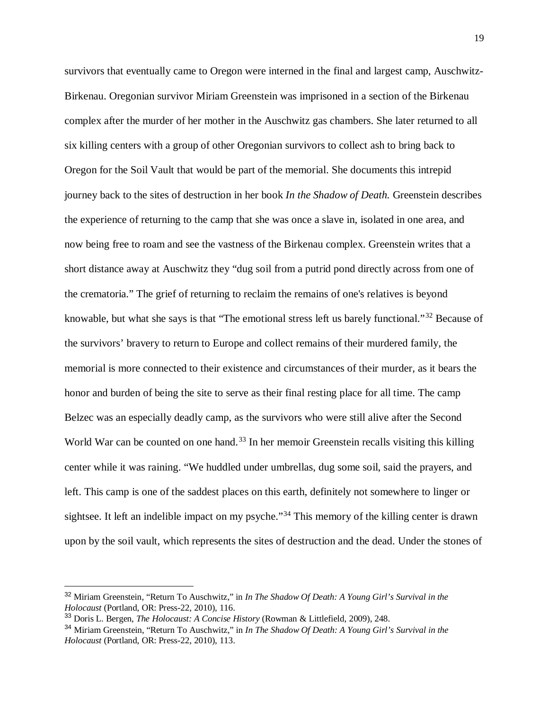survivors that eventually came to Oregon were interned in the final and largest camp, Auschwitz-Birkenau. Oregonian survivor Miriam Greenstein was imprisoned in a section of the Birkenau complex after the murder of her mother in the Auschwitz gas chambers. She later returned to all six killing centers with a group of other Oregonian survivors to collect ash to bring back to Oregon for the Soil Vault that would be part of the memorial. She documents this intrepid journey back to the sites of destruction in her book *In the Shadow of Death.* Greenstein describes the experience of returning to the camp that she was once a slave in, isolated in one area, and now being free to roam and see the vastness of the Birkenau complex. Greenstein writes that a short distance away at Auschwitz they "dug soil from a putrid pond directly across from one of the crematoria." The grief of returning to reclaim the remains of one's relatives is beyond knowable, but what she says is that "The emotional stress left us barely functional."[32](#page-20-0) Because of the survivors' bravery to return to Europe and collect remains of their murdered family, the memorial is more connected to their existence and circumstances of their murder, as it bears the honor and burden of being the site to serve as their final resting place for all time. The camp Belzec was an especially deadly camp, as the survivors who were still alive after the Second World War can be counted on one hand.<sup>[33](#page-20-1)</sup> In her memoir Greenstein recalls visiting this killing center while it was raining. "We huddled under umbrellas, dug some soil, said the prayers, and left. This camp is one of the saddest places on this earth, definitely not somewhere to linger or sightsee. It left an indelible impact on my psyche."<sup>[34](#page-20-2)</sup> This memory of the killing center is drawn upon by the soil vault, which represents the sites of destruction and the dead. Under the stones of

<span id="page-20-0"></span> <sup>32</sup> Miriam Greenstein, "Return To Auschwitz," in *In The Shadow Of Death: A Young Girl's Survival in the Holocaust* (Portland, OR: Press-22, 2010), 116.

<span id="page-20-1"></span><sup>33</sup> Doris L. Bergen, *The Holocaust: A Concise History* (Rowman & Littlefield, 2009), 248.

<span id="page-20-2"></span><sup>34</sup> Miriam Greenstein, "Return To Auschwitz," in *In The Shadow Of Death: A Young Girl's Survival in the Holocaust* (Portland, OR: Press-22, 2010), 113.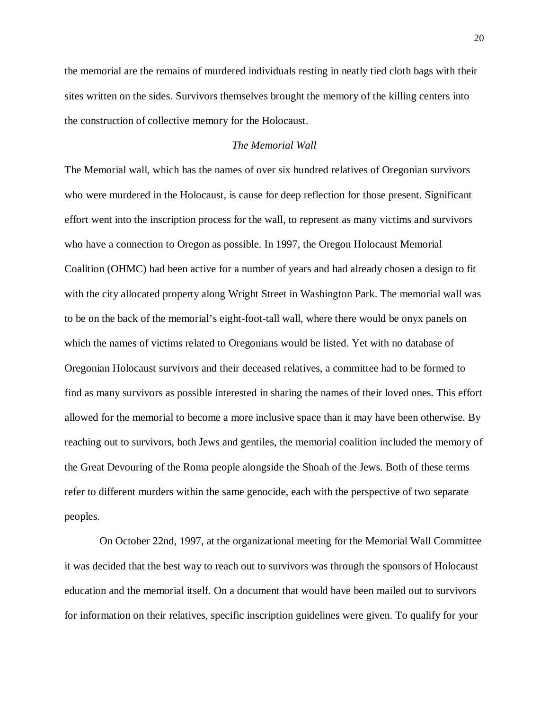the memorial are the remains of murdered individuals resting in neatly tied cloth bags with their sites written on the sides. Survivors themselves brought the memory of the killing centers into the construction of collective memory for the Holocaust.

#### *The Memorial Wall*

The Memorial wall, which has the names of over six hundred relatives of Oregonian survivors who were murdered in the Holocaust, is cause for deep reflection for those present. Significant effort went into the inscription process for the wall, to represent as many victims and survivors who have a connection to Oregon as possible. In 1997, the Oregon Holocaust Memorial Coalition (OHMC) had been active for a number of years and had already chosen a design to fit with the city allocated property along Wright Street in Washington Park. The memorial wall was to be on the back of the memorial's eight-foot-tall wall, where there would be onyx panels on which the names of victims related to Oregonians would be listed. Yet with no database of Oregonian Holocaust survivors and their deceased relatives, a committee had to be formed to find as many survivors as possible interested in sharing the names of their loved ones. This effort allowed for the memorial to become a more inclusive space than it may have been otherwise. By reaching out to survivors, both Jews and gentiles, the memorial coalition included the memory of the Great Devouring of the Roma people alongside the Shoah of the Jews. Both of these terms refer to different murders within the same genocide, each with the perspective of two separate peoples.

On October 22nd, 1997, at the organizational meeting for the Memorial Wall Committee it was decided that the best way to reach out to survivors was through the sponsors of Holocaust education and the memorial itself. On a document that would have been mailed out to survivors for information on their relatives, specific inscription guidelines were given. To qualify for your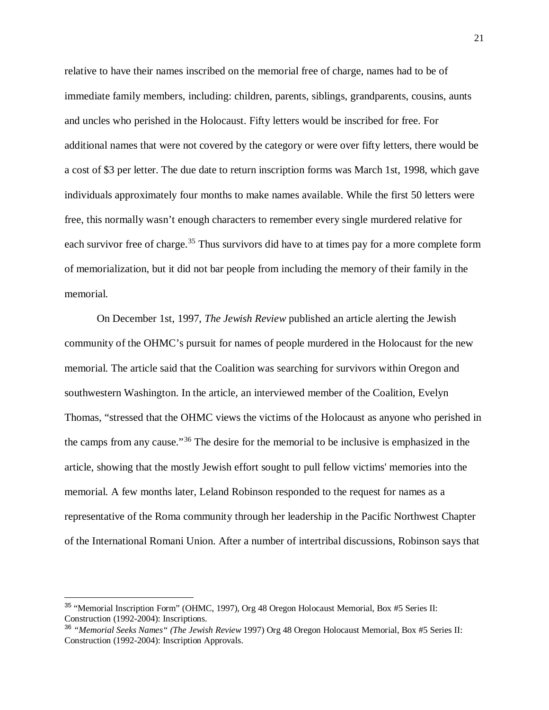relative to have their names inscribed on the memorial free of charge, names had to be of immediate family members, including: children, parents, siblings, grandparents, cousins, aunts and uncles who perished in the Holocaust. Fifty letters would be inscribed for free. For additional names that were not covered by the category or were over fifty letters, there would be a cost of \$3 per letter. The due date to return inscription forms was March 1st, 1998, which gave individuals approximately four months to make names available. While the first 50 letters were free, this normally wasn't enough characters to remember every single murdered relative for each survivor free of charge.<sup>[35](#page-22-0)</sup> Thus survivors did have to at times pay for a more complete form of memorialization, but it did not bar people from including the memory of their family in the memorial.

On December 1st, 1997, *The Jewish Review* published an article alerting the Jewish community of the OHMC's pursuit for names of people murdered in the Holocaust for the new memorial. The article said that the Coalition was searching for survivors within Oregon and southwestern Washington. In the article, an interviewed member of the Coalition, Evelyn Thomas, "stressed that the OHMC views the victims of the Holocaust as anyone who perished in the camps from any cause."[36](#page-22-1) The desire for the memorial to be inclusive is emphasized in the article, showing that the mostly Jewish effort sought to pull fellow victims' memories into the memorial. A few months later, Leland Robinson responded to the request for names as a representative of the Roma community through her leadership in the Pacific Northwest Chapter of the International Romani Union. After a number of intertribal discussions, Robinson says that

<span id="page-22-0"></span><sup>&</sup>lt;sup>35</sup> "Memorial Inscription Form" (OHMC, 1997), Org 48 Oregon Holocaust Memorial, Box #5 Series II: Construction (1992-2004): Inscriptions.

<span id="page-22-1"></span><sup>36</sup> *"Memorial Seeks Names" (The Jewish Review* 1997) Org 48 Oregon Holocaust Memorial, Box #5 Series II: Construction (1992-2004): Inscription Approvals.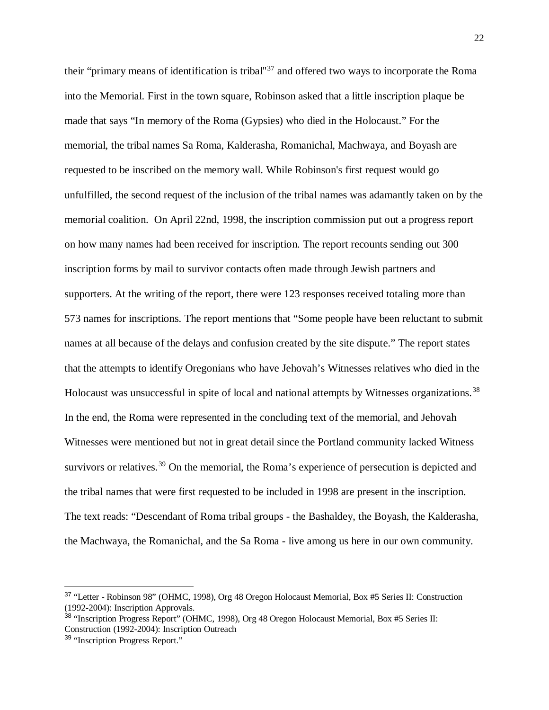their "primary means of identification is tribal''[37](#page-23-0) and offered two ways to incorporate the Roma into the Memorial. First in the town square, Robinson asked that a little inscription plaque be made that says "In memory of the Roma (Gypsies) who died in the Holocaust." For the memorial, the tribal names Sa Roma, Kalderasha, Romanichal, Machwaya, and Boyash are requested to be inscribed on the memory wall. While Robinson's first request would go unfulfilled, the second request of the inclusion of the tribal names was adamantly taken on by the memorial coalition. On April 22nd, 1998, the inscription commission put out a progress report on how many names had been received for inscription. The report recounts sending out 300 inscription forms by mail to survivor contacts often made through Jewish partners and supporters. At the writing of the report, there were 123 responses received totaling more than 573 names for inscriptions. The report mentions that "Some people have been reluctant to submit names at all because of the delays and confusion created by the site dispute." The report states that the attempts to identify Oregonians who have Jehovah's Witnesses relatives who died in the Holocaust was unsuccessful in spite of local and national attempts by Witnesses organizations.<sup>[38](#page-23-1)</sup> In the end, the Roma were represented in the concluding text of the memorial, and Jehovah Witnesses were mentioned but not in great detail since the Portland community lacked Witness survivors or relatives.<sup>[39](#page-23-2)</sup> On the memorial, the Roma's experience of persecution is depicted and the tribal names that were first requested to be included in 1998 are present in the inscription. The text reads: "Descendant of Roma tribal groups - the Bashaldey, the Boyash, the Kalderasha, the Machwaya, the Romanichal, and the Sa Roma - live among us here in our own community.

<span id="page-23-0"></span> <sup>37</sup> "Letter - Robinson 98" (OHMC, 1998), Org 48 Oregon Holocaust Memorial, Box #5 Series II: Construction (1992-2004): Inscription Approvals.

<span id="page-23-1"></span><sup>38</sup> "Inscription Progress Report" (OHMC, 1998), Org 48 Oregon Holocaust Memorial, Box #5 Series II: Construction (1992-2004): Inscription Outreach

<span id="page-23-2"></span><sup>39</sup> "Inscription Progress Report."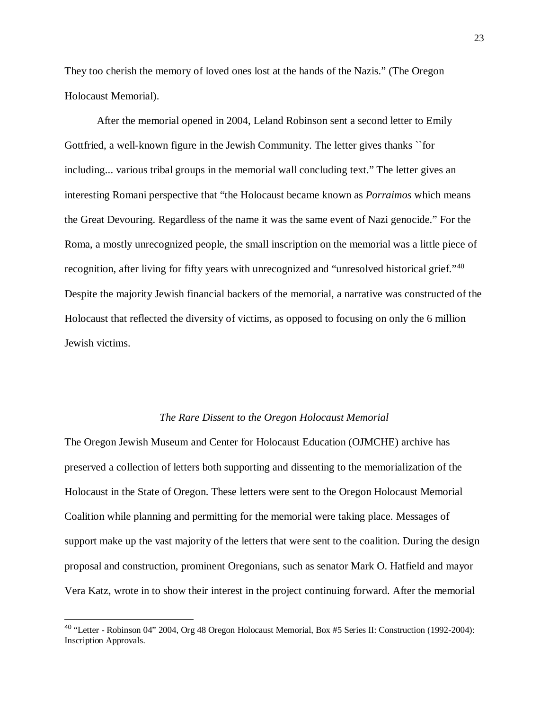They too cherish the memory of loved ones lost at the hands of the Nazis." (The Oregon Holocaust Memorial).

After the memorial opened in 2004, Leland Robinson sent a second letter to Emily Gottfried, a well-known figure in the Jewish Community. The letter gives thanks ``for including... various tribal groups in the memorial wall concluding text." The letter gives an interesting Romani perspective that "the Holocaust became known as *Porraimos* which means the Great Devouring. Regardless of the name it was the same event of Nazi genocide." For the Roma, a mostly unrecognized people, the small inscription on the memorial was a little piece of recognition, after living for fifty years with unrecognized and "unresolved historical grief."[40](#page-24-0) Despite the majority Jewish financial backers of the memorial, a narrative was constructed of the Holocaust that reflected the diversity of victims, as opposed to focusing on only the 6 million Jewish victims.

#### *The Rare Dissent to the Oregon Holocaust Memorial*

The Oregon Jewish Museum and Center for Holocaust Education (OJMCHE) archive has preserved a collection of letters both supporting and dissenting to the memorialization of the Holocaust in the State of Oregon. These letters were sent to the Oregon Holocaust Memorial Coalition while planning and permitting for the memorial were taking place. Messages of support make up the vast majority of the letters that were sent to the coalition. During the design proposal and construction, prominent Oregonians, such as senator Mark O. Hatfield and mayor Vera Katz, wrote in to show their interest in the project continuing forward. After the memorial

<span id="page-24-0"></span> <sup>40</sup> "Letter - Robinson 04" 2004, Org 48 Oregon Holocaust Memorial, Box #5 Series II: Construction (1992-2004): Inscription Approvals.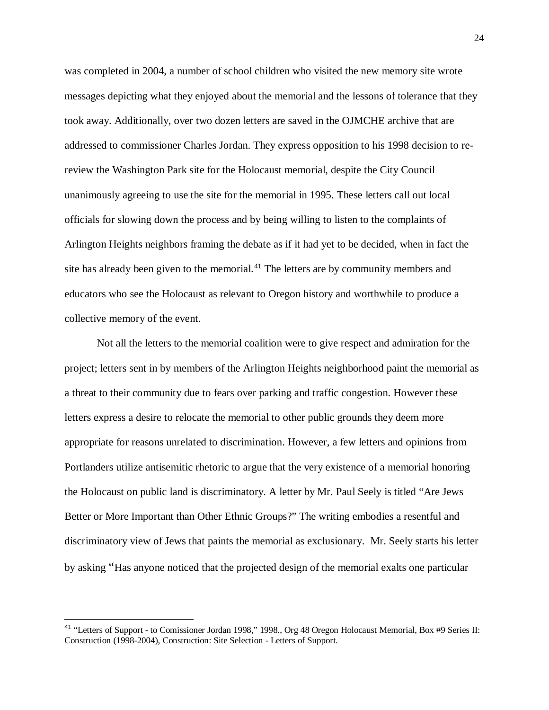was completed in 2004, a number of school children who visited the new memory site wrote messages depicting what they enjoyed about the memorial and the lessons of tolerance that they took away. Additionally, over two dozen letters are saved in the OJMCHE archive that are addressed to commissioner Charles Jordan. They express opposition to his 1998 decision to rereview the Washington Park site for the Holocaust memorial, despite the City Council unanimously agreeing to use the site for the memorial in 1995. These letters call out local officials for slowing down the process and by being willing to listen to the complaints of Arlington Heights neighbors framing the debate as if it had yet to be decided, when in fact the site has already been given to the memorial.<sup>[41](#page-25-0)</sup> The letters are by community members and educators who see the Holocaust as relevant to Oregon history and worthwhile to produce a collective memory of the event.

Not all the letters to the memorial coalition were to give respect and admiration for the project; letters sent in by members of the Arlington Heights neighborhood paint the memorial as a threat to their community due to fears over parking and traffic congestion. However these letters express a desire to relocate the memorial to other public grounds they deem more appropriate for reasons unrelated to discrimination. However, a few letters and opinions from Portlanders utilize antisemitic rhetoric to argue that the very existence of a memorial honoring the Holocaust on public land is discriminatory. A letter by Mr. Paul Seely is titled "Are Jews Better or More Important than Other Ethnic Groups?" The writing embodies a resentful and discriminatory view of Jews that paints the memorial as exclusionary. Mr. Seely starts his letter by asking "Has anyone noticed that the projected design of the memorial exalts one particular

<span id="page-25-0"></span> <sup>41</sup> "Letters of Support - to Comissioner Jordan 1998," 1998., Org 48 Oregon Holocaust Memorial, Box #9 Series II: Construction (1998-2004), Construction: Site Selection - Letters of Support.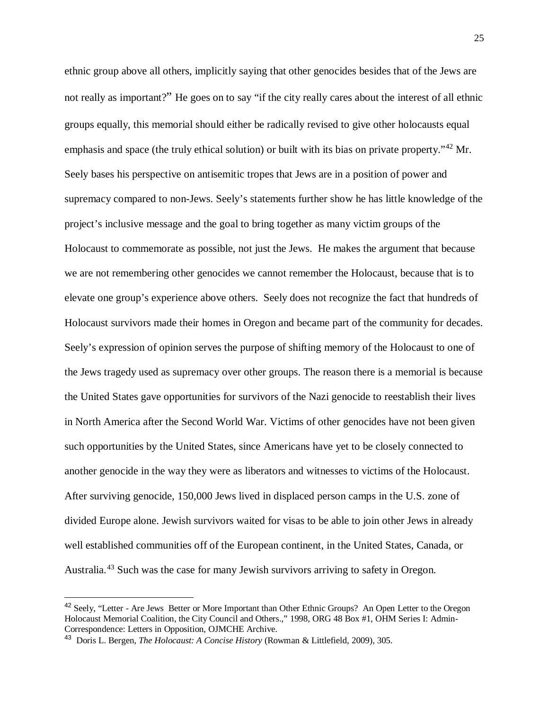ethnic group above all others, implicitly saying that other genocides besides that of the Jews are not really as important?" He goes on to say "if the city really cares about the interest of all ethnic groups equally, this memorial should either be radically revised to give other holocausts equal emphasis and space (the truly ethical solution) or built with its bias on private property."<sup>[42](#page-26-0)</sup> Mr. Seely bases his perspective on antisemitic tropes that Jews are in a position of power and supremacy compared to non-Jews. Seely's statements further show he has little knowledge of the project's inclusive message and the goal to bring together as many victim groups of the Holocaust to commemorate as possible, not just the Jews. He makes the argument that because we are not remembering other genocides we cannot remember the Holocaust, because that is to elevate one group's experience above others. Seely does not recognize the fact that hundreds of Holocaust survivors made their homes in Oregon and became part of the community for decades. Seely's expression of opinion serves the purpose of shifting memory of the Holocaust to one of the Jews tragedy used as supremacy over other groups. The reason there is a memorial is because the United States gave opportunities for survivors of the Nazi genocide to reestablish their lives in North America after the Second World War. Victims of other genocides have not been given such opportunities by the United States, since Americans have yet to be closely connected to another genocide in the way they were as liberators and witnesses to victims of the Holocaust. After surviving genocide, 150,000 Jews lived in displaced person camps in the U.S. zone of divided Europe alone. Jewish survivors waited for visas to be able to join other Jews in already well established communities off of the European continent, in the United States, Canada, or Australia.<sup>[43](#page-26-1)</sup> Such was the case for many Jewish survivors arriving to safety in Oregon.

<span id="page-26-0"></span><sup>&</sup>lt;sup>42</sup> Seely, "Letter - Are Jews Better or More Important than Other Ethnic Groups? An Open Letter to the Oregon Holocaust Memorial Coalition, the City Council and Others.," 1998, ORG 48 Box #1, OHM Series I: Admin-Correspondence: Letters in Opposition, OJMCHE Archive.

<span id="page-26-1"></span><sup>43</sup> Doris L. Bergen, *The Holocaust: A Concise History* (Rowman & Littlefield, 2009), 305.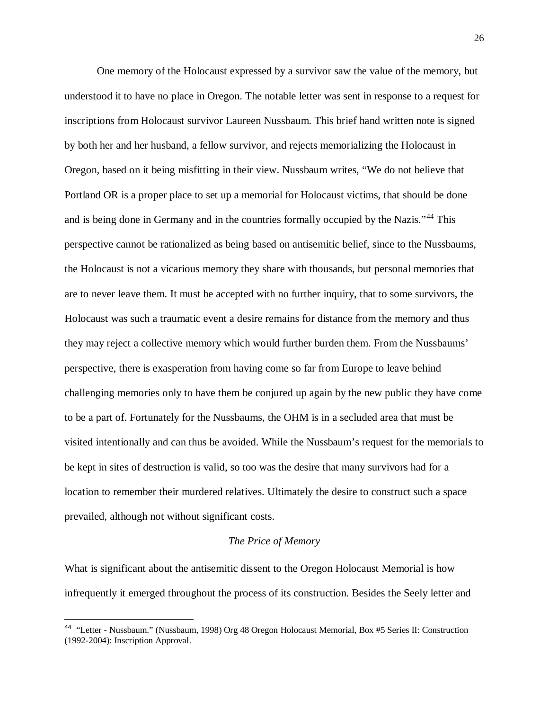One memory of the Holocaust expressed by a survivor saw the value of the memory, but understood it to have no place in Oregon. The notable letter was sent in response to a request for inscriptions from Holocaust survivor Laureen Nussbaum. This brief hand written note is signed by both her and her husband, a fellow survivor, and rejects memorializing the Holocaust in Oregon, based on it being misfitting in their view. Nussbaum writes, "We do not believe that Portland OR is a proper place to set up a memorial for Holocaust victims, that should be done and is being done in Germany and in the countries formally occupied by the Nazis."[44](#page-27-0) This perspective cannot be rationalized as being based on antisemitic belief, since to the Nussbaums, the Holocaust is not a vicarious memory they share with thousands, but personal memories that are to never leave them. It must be accepted with no further inquiry, that to some survivors, the Holocaust was such a traumatic event a desire remains for distance from the memory and thus they may reject a collective memory which would further burden them. From the Nussbaums' perspective, there is exasperation from having come so far from Europe to leave behind challenging memories only to have them be conjured up again by the new public they have come to be a part of. Fortunately for the Nussbaums, the OHM is in a secluded area that must be visited intentionally and can thus be avoided. While the Nussbaum's request for the memorials to be kept in sites of destruction is valid, so too was the desire that many survivors had for a location to remember their murdered relatives. Ultimately the desire to construct such a space prevailed, although not without significant costs.

#### *The Price of Memory*

What is significant about the antisemitic dissent to the Oregon Holocaust Memorial is how infrequently it emerged throughout the process of its construction. Besides the Seely letter and

<span id="page-27-0"></span> <sup>44</sup> "Letter - Nussbaum." (Nussbaum, 1998) Org 48 Oregon Holocaust Memorial, Box #5 Series II: Construction (1992-2004): Inscription Approval.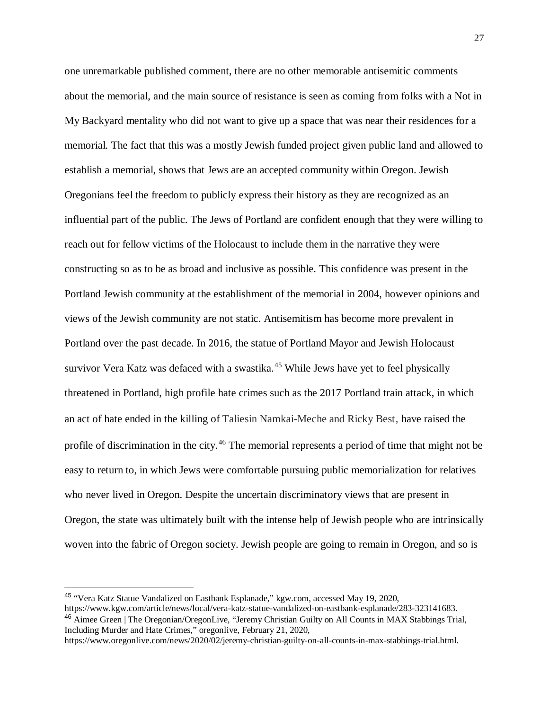one unremarkable published comment, there are no other memorable antisemitic comments about the memorial, and the main source of resistance is seen as coming from folks with a Not in My Backyard mentality who did not want to give up a space that was near their residences for a memorial. The fact that this was a mostly Jewish funded project given public land and allowed to establish a memorial, shows that Jews are an accepted community within Oregon. Jewish Oregonians feel the freedom to publicly express their history as they are recognized as an influential part of the public. The Jews of Portland are confident enough that they were willing to reach out for fellow victims of the Holocaust to include them in the narrative they were constructing so as to be as broad and inclusive as possible. This confidence was present in the Portland Jewish community at the establishment of the memorial in 2004, however opinions and views of the Jewish community are not static. Antisemitism has become more prevalent in Portland over the past decade. In 2016, the statue of Portland Mayor and Jewish Holocaust survivor Vera Katz was defaced with a swastika.<sup>[45](#page-28-0)</sup> While Jews have yet to feel physically threatened in Portland, high profile hate crimes such as the 2017 Portland train attack, in which an act of hate ended in the killing of Taliesin Namkai-Meche and Ricky Best, have raised the profile of discrimination in the city.<sup>[46](#page-28-1)</sup> The memorial represents a period of time that might not be easy to return to, in which Jews were comfortable pursuing public memorialization for relatives who never lived in Oregon. Despite the uncertain discriminatory views that are present in Oregon, the state was ultimately built with the intense help of Jewish people who are intrinsically woven into the fabric of Oregon society. Jewish people are going to remain in Oregon, and so is

<span id="page-28-0"></span> <sup>45</sup> "Vera Katz Statue Vandalized on Eastbank Esplanade," kgw.com, accessed May 19, 2020, https://www.kgw.com/article/news/local/vera-katz-statue-vandalized-on-eastbank-esplanade/283-323141683. <sup>46</sup> Aimee Green | The Oregonian/OregonLive, "Jeremy Christian Guilty on All Counts in MAX Stabbings Trial,

<span id="page-28-1"></span>Including Murder and Hate Crimes," oregonlive, February 21, 2020, https://www.oregonlive.com/news/2020/02/jeremy-christian-guilty-on-all-counts-in-max-stabbings-trial.html.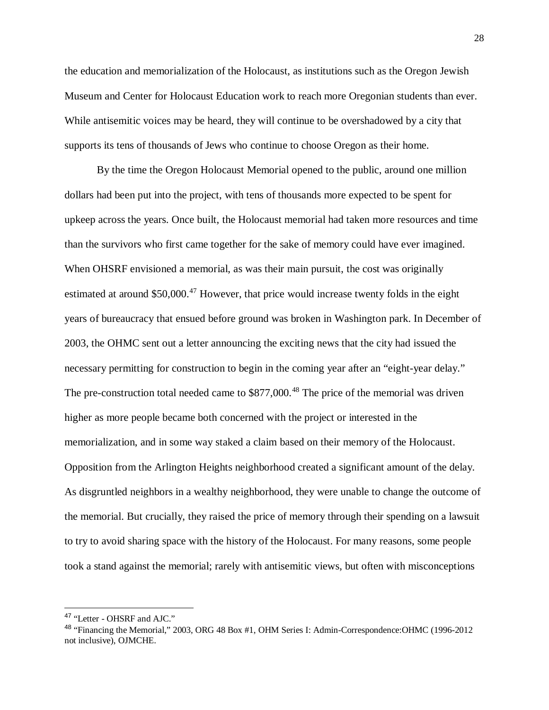the education and memorialization of the Holocaust, as institutions such as the Oregon Jewish Museum and Center for Holocaust Education work to reach more Oregonian students than ever. While antisemitic voices may be heard, they will continue to be overshadowed by a city that supports its tens of thousands of Jews who continue to choose Oregon as their home.

By the time the Oregon Holocaust Memorial opened to the public, around one million dollars had been put into the project, with tens of thousands more expected to be spent for upkeep across the years. Once built, the Holocaust memorial had taken more resources and time than the survivors who first came together for the sake of memory could have ever imagined. When OHSRF envisioned a memorial, as was their main pursuit, the cost was originally estimated at around \$50,000.<sup>[47](#page-29-0)</sup> However, that price would increase twenty folds in the eight years of bureaucracy that ensued before ground was broken in Washington park. In December of 2003, the OHMC sent out a letter announcing the exciting news that the city had issued the necessary permitting for construction to begin in the coming year after an "eight-year delay." The pre-construction total needed came to \$877,000.<sup>[48](#page-29-1)</sup> The price of the memorial was driven higher as more people became both concerned with the project or interested in the memorialization, and in some way staked a claim based on their memory of the Holocaust. Opposition from the Arlington Heights neighborhood created a significant amount of the delay. As disgruntled neighbors in a wealthy neighborhood, they were unable to change the outcome of the memorial. But crucially, they raised the price of memory through their spending on a lawsuit to try to avoid sharing space with the history of the Holocaust. For many reasons, some people took a stand against the memorial; rarely with antisemitic views, but often with misconceptions

<span id="page-29-0"></span> <sup>47</sup> "Letter - OHSRF and AJC."

<span id="page-29-1"></span><sup>48</sup> "Financing the Memorial," 2003, ORG 48 Box #1, OHM Series I: Admin-Correspondence:OHMC (1996-2012 not inclusive), OJMCHE.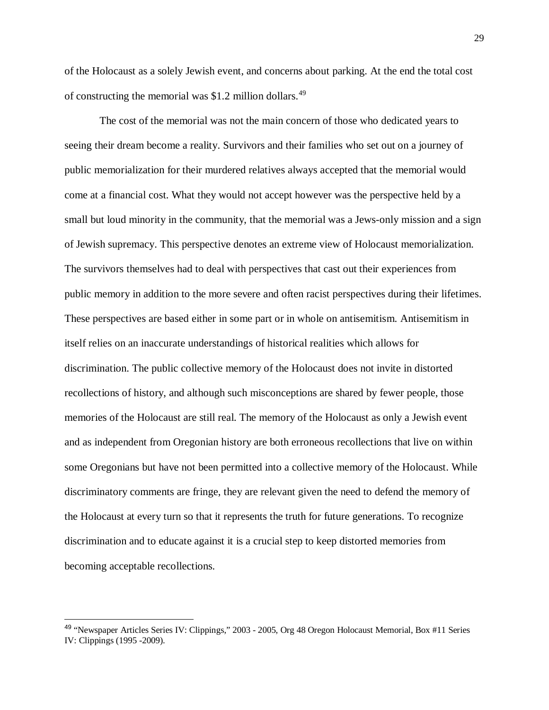of the Holocaust as a solely Jewish event, and concerns about parking. At the end the total cost of constructing the memorial was  $$1.2$  million dollars.<sup>[49](#page-30-0)</sup>

 The cost of the memorial was not the main concern of those who dedicated years to seeing their dream become a reality. Survivors and their families who set out on a journey of public memorialization for their murdered relatives always accepted that the memorial would come at a financial cost. What they would not accept however was the perspective held by a small but loud minority in the community, that the memorial was a Jews-only mission and a sign of Jewish supremacy. This perspective denotes an extreme view of Holocaust memorialization. The survivors themselves had to deal with perspectives that cast out their experiences from public memory in addition to the more severe and often racist perspectives during their lifetimes. These perspectives are based either in some part or in whole on antisemitism. Antisemitism in itself relies on an inaccurate understandings of historical realities which allows for discrimination. The public collective memory of the Holocaust does not invite in distorted recollections of history, and although such misconceptions are shared by fewer people, those memories of the Holocaust are still real. The memory of the Holocaust as only a Jewish event and as independent from Oregonian history are both erroneous recollections that live on within some Oregonians but have not been permitted into a collective memory of the Holocaust. While discriminatory comments are fringe, they are relevant given the need to defend the memory of the Holocaust at every turn so that it represents the truth for future generations. To recognize discrimination and to educate against it is a crucial step to keep distorted memories from becoming acceptable recollections.

<span id="page-30-0"></span> <sup>49</sup> "Newspaper Articles Series IV: Clippings," 2003 - 2005, Org 48 Oregon Holocaust Memorial, Box #11 Series IV: Clippings (1995 -2009).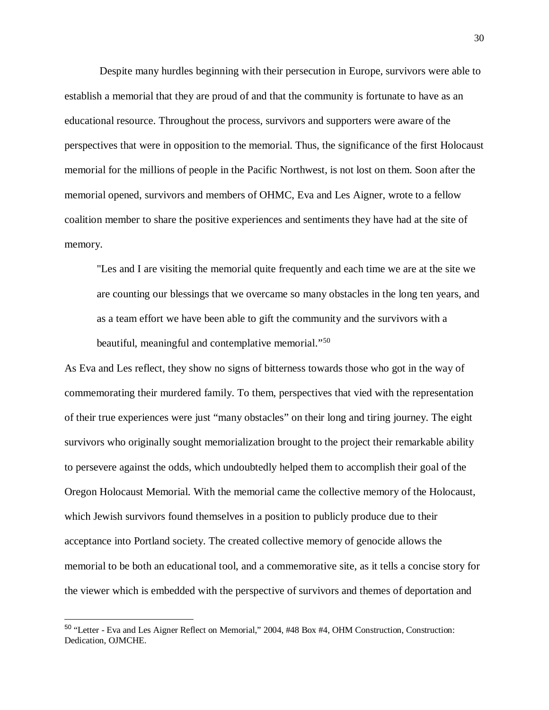Despite many hurdles beginning with their persecution in Europe, survivors were able to establish a memorial that they are proud of and that the community is fortunate to have as an educational resource. Throughout the process, survivors and supporters were aware of the perspectives that were in opposition to the memorial. Thus, the significance of the first Holocaust memorial for the millions of people in the Pacific Northwest, is not lost on them. Soon after the memorial opened, survivors and members of OHMC, Eva and Les Aigner, wrote to a fellow coalition member to share the positive experiences and sentiments they have had at the site of memory.

"Les and I are visiting the memorial quite frequently and each time we are at the site we are counting our blessings that we overcame so many obstacles in the long ten years, and as a team effort we have been able to gift the community and the survivors with a beautiful, meaningful and contemplative memorial."<sup>[50](#page-31-0)</sup>

As Eva and Les reflect, they show no signs of bitterness towards those who got in the way of commemorating their murdered family. To them, perspectives that vied with the representation of their true experiences were just "many obstacles" on their long and tiring journey. The eight survivors who originally sought memorialization brought to the project their remarkable ability to persevere against the odds, which undoubtedly helped them to accomplish their goal of the Oregon Holocaust Memorial. With the memorial came the collective memory of the Holocaust, which Jewish survivors found themselves in a position to publicly produce due to their acceptance into Portland society. The created collective memory of genocide allows the memorial to be both an educational tool, and a commemorative site, as it tells a concise story for the viewer which is embedded with the perspective of survivors and themes of deportation and

<span id="page-31-0"></span> <sup>50</sup> "Letter - Eva and Les Aigner Reflect on Memorial," 2004, #48 Box #4, OHM Construction, Construction: Dedication, OJMCHE.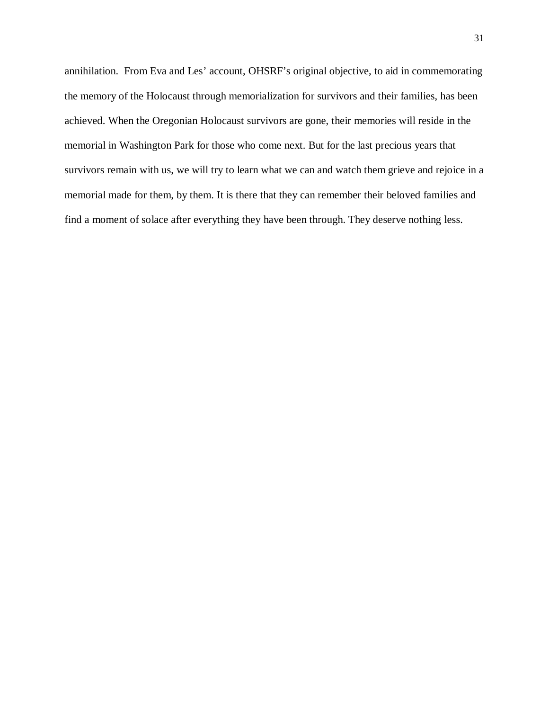annihilation. From Eva and Les' account, OHSRF's original objective, to aid in commemorating the memory of the Holocaust through memorialization for survivors and their families, has been achieved. When the Oregonian Holocaust survivors are gone, their memories will reside in the memorial in Washington Park for those who come next. But for the last precious years that survivors remain with us, we will try to learn what we can and watch them grieve and rejoice in a memorial made for them, by them. It is there that they can remember their beloved families and find a moment of solace after everything they have been through. They deserve nothing less.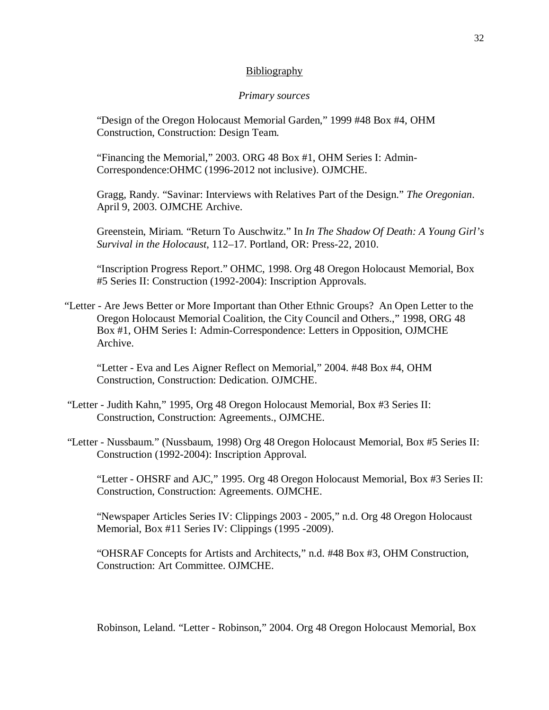#### Bibliography

#### *Primary sources*

"Design of the Oregon Holocaust Memorial Garden," 1999 #48 Box #4, OHM Construction, Construction: Design Team.

"Financing the Memorial," 2003. ORG 48 Box #1, OHM Series I: Admin-Correspondence:OHMC (1996-2012 not inclusive). OJMCHE.

Gragg, Randy. "Savinar: Interviews with Relatives Part of the Design." *The Oregonian*. April 9, 2003. OJMCHE Archive.

Greenstein, Miriam. "Return To Auschwitz." In *In The Shadow Of Death: A Young Girl's Survival in the Holocaust*, 112–17. Portland, OR: Press-22, 2010.

"Inscription Progress Report." OHMC, 1998. Org 48 Oregon Holocaust Memorial, Box #5 Series II: Construction (1992-2004): Inscription Approvals.

"Letter - Are Jews Better or More Important than Other Ethnic Groups? An Open Letter to the Oregon Holocaust Memorial Coalition, the City Council and Others.," 1998, ORG 48 Box #1, OHM Series I: Admin-Correspondence: Letters in Opposition, OJMCHE Archive.

"Letter - Eva and Les Aigner Reflect on Memorial," 2004. #48 Box #4, OHM Construction, Construction: Dedication. OJMCHE.

- "Letter Judith Kahn," 1995, Org 48 Oregon Holocaust Memorial, Box #3 Series II: Construction, Construction: Agreements., OJMCHE.
- "Letter Nussbaum." (Nussbaum, 1998) Org 48 Oregon Holocaust Memorial, Box #5 Series II: Construction (1992-2004): Inscription Approval.

"Letter - OHSRF and AJC," 1995. Org 48 Oregon Holocaust Memorial, Box #3 Series II: Construction, Construction: Agreements. OJMCHE.

"Newspaper Articles Series IV: Clippings 2003 - 2005," n.d. Org 48 Oregon Holocaust Memorial, Box #11 Series IV: Clippings (1995 -2009).

"OHSRAF Concepts for Artists and Architects," n.d. #48 Box #3, OHM Construction, Construction: Art Committee. OJMCHE.